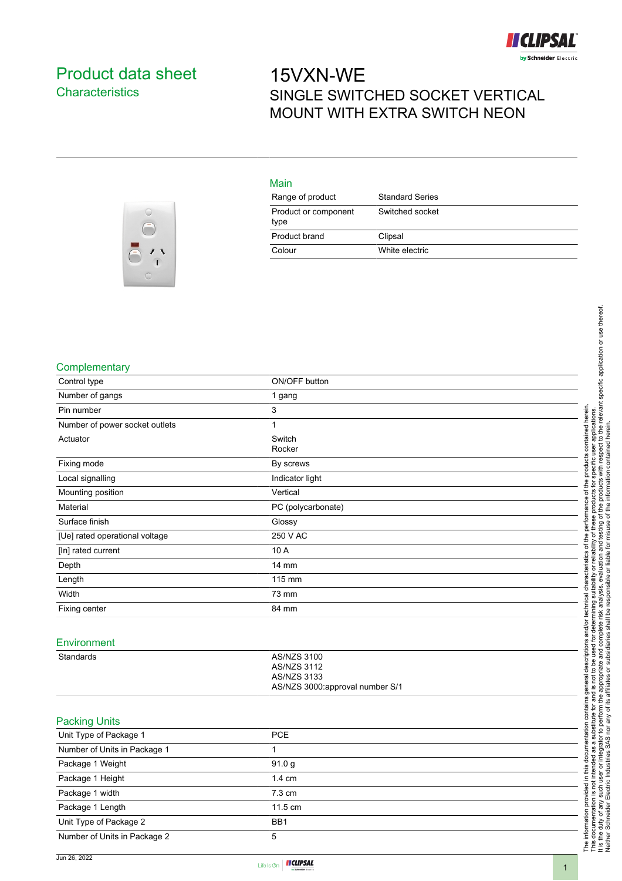

## Product data sheet **Characteristics**

## 15VXN-WE SINGLE SWITCHED SOCKET VERTICAL MOUNT WITH EXTRA SWITCH NEON



| Main                         |                        |
|------------------------------|------------------------|
| Range of product             | <b>Standard Series</b> |
| Product or component<br>type | Switched socket        |
| Product brand                | Clipsal                |
| Colour                       | White electric         |

## **Complementary**

| Control type                   | ON/OFF button                                                                                     |
|--------------------------------|---------------------------------------------------------------------------------------------------|
| Number of gangs                | 1 gang                                                                                            |
| Pin number                     | 3                                                                                                 |
| Number of power socket outlets | 1                                                                                                 |
| Actuator                       | Switch<br>Rocker                                                                                  |
| Fixing mode                    | By screws                                                                                         |
| Local signalling               | Indicator light                                                                                   |
| Mounting position              | Vertical                                                                                          |
| Material                       | PC (polycarbonate)                                                                                |
| Surface finish                 | Glossy                                                                                            |
| [Ue] rated operational voltage | 250 V AC                                                                                          |
| [In] rated current             | 10 A                                                                                              |
| Depth                          | 14 mm                                                                                             |
| Length                         | 115 mm                                                                                            |
| Width                          | 73 mm                                                                                             |
| Fixing center                  | 84 mm                                                                                             |
|                                |                                                                                                   |
| Environment                    |                                                                                                   |
| Standards                      | <b>AS/NZS 3100</b><br><b>AS/NZS 3112</b><br><b>AS/NZS 3133</b><br>AS/NZS 3000:approval number S/1 |
| <b>Packing Units</b>           |                                                                                                   |
| Unit Type of Package 1         | PCE                                                                                               |
| Number of Units in Package 1   | 1                                                                                                 |
| Package 1 Weight               | 91.0 <sub>g</sub>                                                                                 |
| Package 1 Height               | 1.4 cm                                                                                            |
| Package 1 width                | 7.3 cm                                                                                            |
| Package 1 Length               | 11.5 cm                                                                                           |
| Unit Type of Package 2         | BB1                                                                                               |
| Number of Units in Package 2   | 5                                                                                                 |